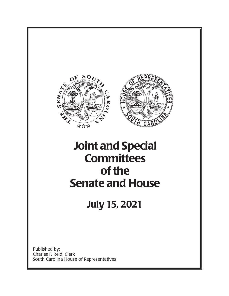

Published by: Charles F. Reid, Clerk South Carolina House of Representatives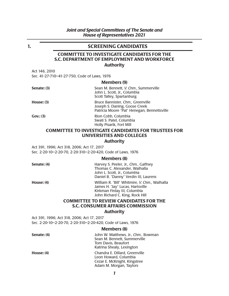# **1. SCREENING CANDIDATES**

# **COMMITTEE TO INVESTIGATE CANDIDATES FOR THE S.C. DEPARTMENT OF EMPLOYMENT AND WORKFORCE Author ity**

Act 146, 2010

Sec. 41-27-710–41-27-750, Code of Laws, 1976

#### **Members (9)**

| Senate: (3)  | Sean M. Bennett, V. Chm., Summerville<br>John L. Scott, Jr., Columbia<br>Scott Talley, Spartanburg                |
|--------------|-------------------------------------------------------------------------------------------------------------------|
| House: $(3)$ | Bruce Bannister, Chm., Greenville<br>Joseph S. Daning, Goose Creek<br>Patricia Moore "Pat" Henegan, Bennettsville |

**Gov.: (3)** Rion Cobb, Columbia Swati S. Patel, Columbia Holly Pisarik, Fort Mill

# **COMMITTEE TO INVESTIGATE CANDIDATES FOR TRUSTEES FOR UNIVERSITIES AND COLLEGES**

## **Author ity**

Act 391, 1996; Act 318, 2006; Act 17, 2017 Sec. 2-20-10–2-20-70, 2-20-310–2-20-420, Code of Laws, 1976

## **Members (8)**

| Senate: (4)  | Harvey S. Peeler, Jr., Chm., Gaffney<br>Thomas C. Alexander, Walhalla<br>John L. Scott, Jr., Columbia<br>Daniel B. "Danny" Verdin III, Laurens       |
|--------------|------------------------------------------------------------------------------------------------------------------------------------------------------|
| House: $(4)$ | William R. "Bill" Whitmire, V. Chm., Walhalla<br>James H. "Jay" Lucas, Hartsville<br>Kirkman Finlay III, Columbia<br>John Richard C. King, Rock Hill |

## **COMMITTEE TO REVIEW CANDIDATES FOR THE S.C. CONSUMER AFFAIRS COMMISSION**

#### **Author ity**

Act 391, 1996; Act 318, 2006; Act 17, 2017 Sec. 2-20-10–2-20-70, 2-20-310–2-20-420, Code of Laws, 1976

## **Members (8)**

| Senate: (4)  | John W. Matthews, Jr., Chm., Bowman<br>Sean M. Bennett, Summerville<br>Tom Davis, Beaufort<br>Katrina Shealy, Lexington |
|--------------|-------------------------------------------------------------------------------------------------------------------------|
| House: $(4)$ | Chandra E. Dillard, Greenville<br>Leon Howard, Columbia<br>Cezar E. McKnight, Kingstree<br>Adam M. Morgan, Taylors      |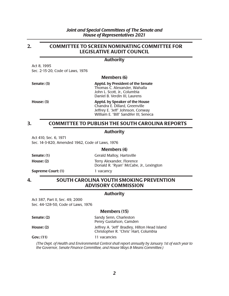# **2. COMMITTEE TO SCREEN NOMINATING COMMITTEE FOR LEGISLATIVE AUDIT COUNCIL**

## **Author ity**

Act 8, 1995 Sec. 2-15-20, Code of Laws, 1976

## **Members (6)**

| Senate: (3)  | <b>Apptd. by President of the Senate</b><br>Thomas C. Alexander, Wahalla<br>John L. Scott, Jr., Columbia |
|--------------|----------------------------------------------------------------------------------------------------------|
|              | Daniel B. Verdin III, Laurens                                                                            |
| House: $(3)$ | Apptd. by Speaker of the House                                                                           |

## Chandra E. Dillard, Greenville Jeffrey E. "Jeff" Johnson, Conway William E. "Bill" Sandifer III, Seneca

# **3. COMMITTEE TO PUBLISH THE SOUTH CAROLINA REPORTS**

## **Author ity**

Act 410, Sec. 6, 1971 Sec. 14-3-820, Amended 1962, Code of Laws, 1976

### **Members (4)**

**Senate: (1)** Gerald Malloy, Hartsville **House: (2)** Terry Alexander, Florence Donald R. "Ryan" McCabe, Jr., Lexington

**Supreme Court: (1)** 1 vacancy

# **4. SOUTH CAROLINA YOUTH SMOKING PREVENTION ADVISORY COMMISSION**

# **Authority**

Act 387, Part II, Sec. 49, 2000 Sec. 44-128-50, Code of Laws, 1976

## **Members (15)**

| Senate: (2)  | Sandy Senn, Charleston<br>Penry Gustafson, Camden                                      |
|--------------|----------------------------------------------------------------------------------------|
| House: $(2)$ | Jeffrey A. "Jeff" Bradley, Hilton Head Island<br>Christopher R. "Chris" Hart, Columbia |
| Gov: (11)    | 11 vacancies                                                                           |

*(The Dept. of Health and Environmental Control shall report annually by January 1st of each year to the Governor, Senate Finance Committee, and House Ways & Means Committee.)*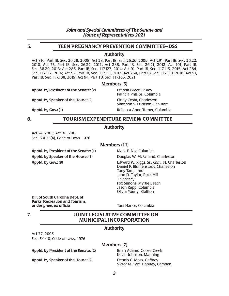# **5. TEEN PREGNANCY PREVENTION COMMITTEE—DSS**

## **Authority**

Act 310, Part IB, Sec. 26.28, 2008; Act 23, Part IB, Sec. 26.26, 2009; Act 291, Part IB, Sec. 26.22, 2010; Act 73, Part IB, Sec. 26.22, 2011; Act 288, Part IB, Sec. 26.21, 2012; Act 101, Part IB, Sec. 38.20, 2013; Act 286, Part IB, Sec. 117.127, 2014; Act 91, Part IB, Sec. 117.115, 2015; Act 284, Sec. 117.112, 2016; Act 97, Part IB, Sec. 117.111, 2017; Act 264, Part IB, Sec. 117.110, 2018; Act 91, Part IB, Sec. 117.108, 2019; Act 94, Part 1B, Sec. 117.105, 2021

#### **Members (5)**

Apptd. by President of the Senate: (2) Brenda Greer, Easley

Apptd. by Speaker of the House: (2) Cindy Costa, Charleston

**Apptd. by Gov.: (1)** Apptd. by Gov.: (1) Rebecca Anne Turner, Columbia

Patricia Phillips, Columbia

Shannon S. Erickson, Beaufort

# **6. TOURISM EXPENDITURE REVIEW COMMITTEE**

# **Authority**

Act 74, 2001; Act 38, 2003 Sec. 6-4-35(A), Code of Laws, 1976

## **Members (11)**

**Apptd. by President of the Senate: (1)** Mark E. Nix, Columbia **Apptd. by Speaker of the House: (1)** Douglas W. McFarland, Charleston

**Apptd. by Gov.: (8)** Edward W. Riggs, Sr., *Chm.*, N. Charleston Daniel P. Blumenstock, Charleston Tony Tam, Irmo John D. Taylor, Rock Hill 1 vacancy Fox Simons, Myrtle Beach Jason Rapp, Columbia Olivia Young, Bluffton

**Dir. of South Carolina Dept. of Parks, Recreation and Tourism, or designee, ex officio** Toni Nance, Columbia

**7. JOINT LEGISLATIVE COMMITTEE ON MUNICIPAL INCORPORATION** 

## **Authority**

Act 77, 2005 Sec. 5-1-10, Code of Laws, 1976

## **Members (7)**

#### **Apptd. by President of the Senate: (2)** Brian Adams, Goose Creek

**Apptd. by Speaker of the House: (2)** Dennis C. Moss, Gaffney

Kevin Johnson, Manning Victor M. "Vic" Dabney, Camden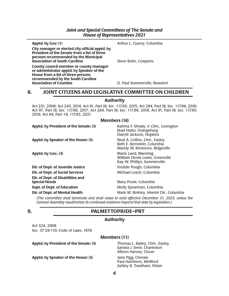**City manager or elected city official apptd. by President of the Senate from a list of three persons recommended by the Municipal Association of South Carolina** Steve Bolin, Cowpens

**County council member or county manager or administrator apptd. by Speaker of the House from a list of three persons recommended by the South Carolina** 

**Apptd. by Gov: (1)** Arthur L. Guerry, Columbia

**Association of Counties** D. Paul Sommerville, Beaufort

# **8. JOINT CITIZENS AND LEGISLATIVE COMMITTEE ON CHILDREN**

## **Authority**

Act 251, 2008; Act 245, 2014; Act 91, Part IB, Sec. 117.85, 2015; Act 284, Part IB, Sec. 117.86, 2016; Act 97, Part IB, Sec. 117.86, 2017; Act 264, Part IB, Sec. 117.86, 2018; Act 91, Part IB, Sec. 117.85, 2019; Act 94, Part 1B, 117.83, 2021

## **Members (14)**

| Apptd. by President of the Senate: (3)                    | Katrina F. Shealy, V. Chm., Lexington<br>Brad Hutto, Orangeburg<br>Darrell Jackson, Hopkins  |
|-----------------------------------------------------------|----------------------------------------------------------------------------------------------|
| Apptd. by Speaker of the House: (3)                       | Neal A. Collins, Chm., Easley<br>Beth E. Bernstein, Columbia<br>Mandy W. Kimmons, Ridgeville |
| Apptd. by Gov.: (3)                                       | Marie Land, Manning<br>William Derek Lewis, Greenville<br>Kay W. Phillips, Summerville       |
| Dir. of Dept. of Juvenile Justice                         | Freddie Pough, Columbia                                                                      |
| Dir. of Dept. of Social Services                          | Michael Leach, Columbia                                                                      |
| Dir. of Dept. of Disabilities and<br><b>Special Needs</b> | Mary Poole, Columbia                                                                         |
| <b>Supt. of Dept. of Education</b>                        | Molly Spearman, Columbia                                                                     |
| Dir. of Dept. of Mental Health                            | Mark W. Binkley, Interim Dir., Columbia                                                      |

*(The committee shall terminate and shall cease to exist effective December 31, 2023, unless the General Assembly reauthorizes its continued existence beyond that date by legislation.)* 

# **9. PALMETTOPRIDE–PRT**

# **Authority**

Act 324, 2008 Sec. 37-29-110, Code of Laws, 1976

# **Members (11)**

**Apptd. by President of the Senate: (3)** Thomas L. Bailey, *Chm.*, Easley

**Apptd. by Speaker of the House: (3)** Jane Pigg, Cheraw

Sandra J. Senn, Charleston Allison Harvey, Clover

Paul Hamberis, Wellford Ashley B. Trantham, Pelzer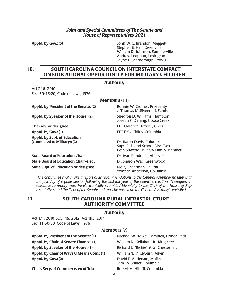**Apptd. by Gov.: (5)** John W. C. Brandon, Meggett Stephen E. Hall, Greenville William D. Johnson, Summerville Andrew Leaphart, Lexington Jayne E. Scarborough, Rock Hill

# **10. SOUTH CAROLINA COUNCIL ON INTERSTATE COMPACT ON EDUCATIONAL OPPORTUNITY FOR MILITARY CHILDREN**

# **Authority**

Act 246, 2010 Sec. 59-46-20, Code of Laws, 1976

| <b>Members (11)</b>                                          |                                                                                                      |
|--------------------------------------------------------------|------------------------------------------------------------------------------------------------------|
| Apptd. by President of the Senate: (2)                       | Ronnie W. Cromer, Prosperity<br>J. Thomas McElveen III, Sumter                                       |
| Apptd. by Speaker of the House: (2)                          | Shedron D. Williams, Hampton<br>Joseph S. Daning, Goose Creek                                        |
| The Gov. or designee                                         | LTC Clarence Bowser, Greer                                                                           |
| Apptd. by Gov.: (1)                                          | LTC Felix Childs, Columbia                                                                           |
| Apptd. by Supt. of Education<br>(connected to Military): (2) | Dr. Baron Davis, Columbia,<br>Supt.-Richland School Dist. Two<br>Beth Shwedo, Military Family Member |
| <b>State Board of Education Chair</b>                        | Dr. Ivan Randolph, Abbeville                                                                         |
| <b>State Board of Education Chair-elect</b>                  | Dr. Sharon Wall, Greenwood                                                                           |
| <b>State Supt. of Education or designee</b>                  | Molly Spearman, Saluda<br>Yolande Anderson, Columbia                                                 |

*(The committee shall make a report of its recommendations to the General Assembly no later than the first day of regular session following the first full year of the council's creation. Thereafter, an executive summary must be electronically submitted biennially to the Clerk of the House of Rep resentatives and the Clerk of the Senate and must be posted on the General Assembly's website.)* 

# **11. SOUTH CAROLINA RURAL INFRASTRUCTURE AUTHORITY COMMITTEE**

## **Authority**

Act 171, 2010; Act 149, 2012; Act 195, 2014 Sec. 11-50-50, Code of Laws, 1976

# **Members (7)**

**Chair, Secy. of Commerce, ex officio** Robert M. Hitt III, Columbia

**Apptd. by President of the Senate: (1)** Michael W. "Mike" Gambrell, Honea Path **Apptd. by Chair of Senate Finance: (1)** William N. Kellahan, Jr., Kingstree **Apptd. by Speaker of the House: (1)** Richard L. "Richie" Yow, Chesterfield **Apptd. by Chair of Ways & Means Com.: (1)** William "Bill" Clyburn, Aiken **Apptd. by Gov.: (2)** David E. Anderson, Mullins Jack W. Shuler, Columbia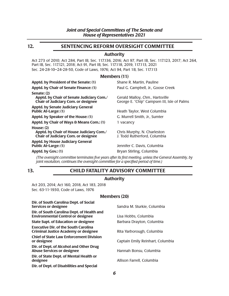# **12. SENTENCING REFORM OVERSIGHT COMMITTEE**

# **Authority**

Act 273 of 2010; Act 284, Part IB, Sec. 117.136, 2016; Act 97, Part IB, Sec. 117.123, 2017; Act 264, Part IB, Sec. 117.121, 2018; Act 91, Part IB, Sec. 117.118, 2019, 117.113, 2021 Sec. 24-28-10–24-28-50, Code of Laws, 1976; Act 94, Part 1B, Sec. 117.113

## **Members (11)**

| Apptd. by President of the Senate: (1)                                                                 | Shane R. Martin, Pauline                                                       |
|--------------------------------------------------------------------------------------------------------|--------------------------------------------------------------------------------|
| Apptd. by Chair of Senate Finance: (1)                                                                 | Paul G. Campbell, Jr., Goose Creek                                             |
| Senate: (2)<br>Apptd. by Chair of Senate Judiciary Com./<br><b>Chair of Judiciary Com. or designee</b> | Gerald Malloy, Chm., Hartsville<br>George E. "Chip" Campsen III, Isle of Palms |
| <b>Apptd. by Senate Judiciary General</b><br><b>Public At-Large: (1)</b>                               | Heath Taylor, West Columbia                                                    |
| Apptd. by Speaker of the House: (1)                                                                    | G. Murrell Smith, Jr., Sumter                                                  |
| Apptd. by Chair of Ways & Means Com.: (1)                                                              | 1 vacancy                                                                      |
| House: $(2)$<br>Apptd. by Chair of House Judiciary Com./<br><b>Chair of Judiciary Com. or designee</b> | Chris Murphy, N. Charleston<br>J. Todd Rutherford, Columbia                    |
| <b>Apptd. by House Judiciary General</b><br><b>Public At-Large: (1)</b>                                | Jennifer C. Davis, Columbia                                                    |
| Apptd. by Gov.: (1)                                                                                    | Bryan Stirling, Columbia                                                       |

*(The oversight committee terminates five years after its first meeting, unless the General Assembly, by joint resolution, continues the oversight committee for a specified period of time.)* 

# **13. CHILD FATALITY ADVISORY COMMITTEE**

# **Authority**

Act 203, 2014; Act 160, 2018, Act 183, 2018 Sec. 63-11-1930, Code of Laws, 1976

## **Members (20)**

| Dir. of South Carolina Dept. of Social<br><b>Services or designee</b>                      | Sandra M. Sturkie, Columbia      |
|--------------------------------------------------------------------------------------------|----------------------------------|
| Dir. of South Carolina Dept. of Health and<br><b>Environmental Control or designee</b>     | Lisa Hobbs, Columbia             |
| <b>State Supt. of Education or designee</b>                                                | Barbara Drayton, Columbia        |
| <b>Executive Dir. of the South Carolina</b><br><b>Criminal Justice Academy or designee</b> | Rita Yarborough, Columbia        |
| <b>Chief of State Law Enforcement Division</b><br>or designee                              | Captain Emily Reinhart, Columbia |
| Dir. of Dept. of Alcohol and Other Drug<br><b>Abuse Services or designee</b>               | Hannah Bonsu, Columbia           |
| Dir. of State Dept. of Mental Health or<br>designee                                        | Allison Farrell, Columbia        |
| Dir. of Dept. of Disabilities and Special                                                  |                                  |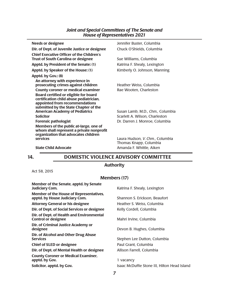| <b>Needs or designee</b>                                                                                                                                    | Jennifer Buster, Columbia                                 |
|-------------------------------------------------------------------------------------------------------------------------------------------------------------|-----------------------------------------------------------|
| Dir. of Dept. of Juvenile Justice or designee                                                                                                               | Chuck O'Shields, Columbia                                 |
| <b>Chief Executive Officer of the Children's</b><br><b>Trust of South Carolina or designee</b>                                                              | Sue Williams, Columbia                                    |
| Apptd. by President of the Senate: (1)                                                                                                                      | Katrina F. Shealy, Lexington                              |
| Apptd. by Speaker of the House: (1)                                                                                                                         | Kimberly O. Johnson, Manning                              |
| Apptd. by Gov.: (8)                                                                                                                                         |                                                           |
| An attorney with experience in<br>prosecuting crimes against children                                                                                       | Heather Weiss, Columbia                                   |
| <b>County coroner or medical examiner</b>                                                                                                                   | Rae Wooten, Charleston                                    |
| Board certified or eligible for board<br>certification child abuse pediatrician,<br>appointed from recommendations<br>submitted by the State Chapter of the |                                                           |
| <b>American Academy of Pediatrics</b>                                                                                                                       | Susan Lamb, M.D., Chm., Columbia                          |
| <b>Solicitor</b>                                                                                                                                            | Scarlett A. Wilson, Charleston                            |
| <b>Forensic pathologist</b>                                                                                                                                 | Dr. Darren J. Monroe, Columbia                            |
| Members of the public at-large, one of<br>whom shall represent a private nonprofit<br>organization that advocates children                                  |                                                           |
| <b>services</b>                                                                                                                                             | Laura Hudson, V. Chm., Columbia<br>Thomas Knapp, Columbia |
| <b>State Child Advocate</b>                                                                                                                                 | Amanda F. Whittle, Aiken                                  |

# **14. DOMESTIC VIOLENCE ADVISORY COMMITTEE**

# **Authority**

Act 58, 2015

# **Members (17)**

| Member of the Senate, apptd. by Senate<br><b>Judiciary Com.</b>                  | Katrina F. Shealy, Lexington                 |
|----------------------------------------------------------------------------------|----------------------------------------------|
| <b>Member of the House of Representatives,</b><br>apptd. by House Judiciary Com. | Shannon S. Erickson, Beaufort                |
| <b>Attorney General or his designee</b>                                          | Heather S. Weiss, Columbia                   |
| Dir. of Dept. of Social Services or designee                                     | Kelly Cordell, Columbia                      |
| Dir. of Dept. of Health and Environmental<br><b>Control or designee</b>          | Mahri Irvine, Columbia                       |
| Dir. of Criminal Justice Academy or<br>designee                                  | Devon B. Hughes, Columbia                    |
| Dir. of Alcohol and Other Drug Abuse<br><b>Services</b>                          | Stephen Lee Dutton, Columbia                 |
| <b>Chief of SLED or designee</b>                                                 | Paul Grant, Columbia                         |
| Dir. of Dept. of Mental Health or designee                                       | Allison Farrell, Columbia                    |
| <b>County Coroner or Medical Examiner,</b><br>apptd. by Gov.                     | 1 vacancy                                    |
| Solicitor, apptd. by Gov.                                                        | Isaac McDuffie Stone III, Hilton Head Island |
|                                                                                  |                                              |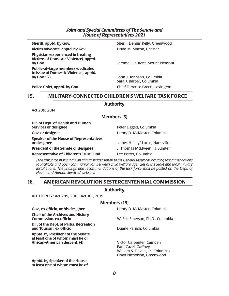**Victim advocate, apptd. by Gov.** Linda M. Macon, Chester

**Physician (experienced in treating Victims of Domestic Violence), apptd. by Gov. by Gov. by Governo E. Kurent, Mount Pleasant** 

**Public-at-large members (dedicated to issue of Domestic Violence), apptd.** 

**Sheriff, apptd. by Gov.** Sheriff Dennis Kelly, Greenwood

**by Gov.: (2)** John J. Johnson, Columbia Sara J. Barber, Columbia **Police Chief, apptd. by Gov.** Chief Terrence Green, Lexington

# **15. MILITARY-CONNECTED CHILDREN'S WELFARE TASK FORCE**

## **Authority**

Act 289, 2014

**Members (5)** 

| Dir. of Dept. of Health and Human<br>Services or designee     | Peter Liggett, Columbia          |
|---------------------------------------------------------------|----------------------------------|
| Gov. or designee                                              | Henry D. McMaster, Columbia      |
| <b>Speaker of the House of Representatives</b><br>or designee | James H. "Jay" Lucas, Hartsville |
| <b>President of the Senate or designee</b>                    | J. Thomas McElveen III, Sumter   |
| <b>Representative of Children's Trust Fund</b>                | Lee Porter, Columbia             |
|                                                               |                                  |

*(The task force shall submit an annual written report to the General Assembly including recommendations to facilitate and open communication between child welfare agencies of the State and local military*  installations. The findings and recommendations of the task force shall be posted on the Dept. of *Health and Human Services' website.)*

# **16. AMERICAN REVOLUTION SESTERCENTENNIAL COMMISSION**

## **Authority**

AUTHORITY: Act 289, 2018; Act 101, 2019

## **Members (15)**

| Gov., ex officio, or his designee                                                                      | Henry D. McMaster, Columbia                                                                                      |
|--------------------------------------------------------------------------------------------------------|------------------------------------------------------------------------------------------------------------------|
| <b>Chair of the Archives and History</b><br><b>Commission, ex officio</b>                              | W. Eric Emerson, Ph.D., Columbia                                                                                 |
| Dir. of the Dept. of Parks, Recreation<br>and Tourism, ex officio                                      | Duane Parrish, Columbia                                                                                          |
| Apptd. by President of the Senate,<br>at least one of whom must be of<br>African-American descent: (4) | Victor Carpenter, Camden<br>Pam Cazel, Gaffney<br>William S. Davies, Jr., Columbia<br>Floyd Nicholson, Greenwood |
| Append by Conclou of the House                                                                         |                                                                                                                  |

**Apptd. by Speaker of the House, at least one of whom must be of**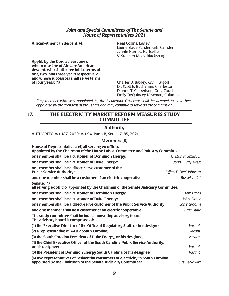| African-American descent: (4)                                                                                                                                                                             | Neal Collins, Easley<br>Laurie Slade Funderburk, Camden<br>Jannie Harriot, Hartsville<br>V. Stephen Moss, Blacksburg |
|-----------------------------------------------------------------------------------------------------------------------------------------------------------------------------------------------------------|----------------------------------------------------------------------------------------------------------------------|
| Apptd. by the Gov., at least one of<br>whom must be of African-American<br>descent, who shall serve initial terms of<br>one, two, and three years respectively,<br>and whose successors shall serve terms |                                                                                                                      |
| of four years: $(4)$                                                                                                                                                                                      | Charles B. Baxley, Chm., Lugoff<br>Dr. Scott E. Buchanan, Charleston<br>Dianne T. Culbertson, Gray Court             |

*(Any member who was appointed by the Lieutenant Governor shall be deemed to have been appointed by the President of the Senate and may continue to serve on the commission.)* 

Emily DeQuincey Newman, Columbia

# **17. THE ELECTRICITY MARKET REFORM MEASURES STUDY COMMITTEE**

## **Authority**

AUTHORITY: Act 187, 2020; Act 94, Part 1B, Sec. 117.185, 2021

# **Members (8)**

| House of Representatives: (4) all serving ex officio,<br>Appointed by the Chairman of the House Labor, Commerce and Industry Committee;           |                           |
|---------------------------------------------------------------------------------------------------------------------------------------------------|---------------------------|
| one member shall be a customer of Dominion Energy:                                                                                                | G. Murrell Smith. Jr.     |
| one member shall be a customer of Duke Energy:                                                                                                    | John T. "Jay' West        |
| one member shall be a direct-serve customer of the<br><b>Public Service Authority:</b>                                                            | Jeffrey E. "Jeff' Johnson |
| and one member shall be a customer of an electric cooperative:                                                                                    | Russell L. Ott            |
| Senate: (4)<br>all serving ex officio, appointed by the Chairman of the Senate Judiciary Committee;                                               |                           |
| one member shall be a customer of Dominion Energy:                                                                                                | <b>Tom Davis</b>          |
| one member shall be a customer of Duke Energy:                                                                                                    | Wes Climer                |
| one member shall be a direct-serve customer of the Public Service Authority:                                                                      | Larry Grooms              |
| and one member shall be a customer of an electric cooperative:                                                                                    | <b>Brad Hutto</b>         |
| The study committee shall include a nonvoting advisory board.<br>The advisory board is comprised of:                                              |                           |
| (1) the Executive Director of the Office of Regulatory Staff, or her designee;                                                                    | Vacant                    |
| (2) a representative of AARP South Carolina;                                                                                                      | Vacant                    |
| (3) the South Carolina President of Duke Energy, or his desginee;                                                                                 | Vacant                    |
| (4) the Chief Executive Officer of the South Carolina Public Service Authority,<br>or his designee;                                               | Vacant                    |
| (5) the President of Dominion Energy South Carolina or his designee;                                                                              | Vacant                    |
| (6) two representatives of residential consumers of electricity in South Carolina<br>appointed by the Chairman of the Senate Judiciary Committee; | Sue Berkowitz             |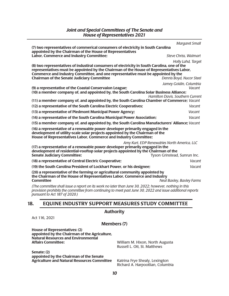|                                                                                                                                                                                                                                                     | <b>Margaret Small</b>                       |
|-----------------------------------------------------------------------------------------------------------------------------------------------------------------------------------------------------------------------------------------------------|---------------------------------------------|
| (7) two representatives of commerical consumers of electricity in South Carolina<br>appointed by the Chairman of the House of Representatives                                                                                                       |                                             |
| Labor, Commerce and Industry Committee;                                                                                                                                                                                                             | <b>Steve Chriss, Walmart</b>                |
|                                                                                                                                                                                                                                                     | Holly Lahd, Target                          |
| (8) two representatives of industiral consumers of electricity in South Carolina, one of the                                                                                                                                                        |                                             |
| representatives must be appointed by the Chairman of the House of Representatives Labor,<br>Commerce and Industry Committee, and one representative must be appointed by the                                                                        |                                             |
| <b>Chairman of the Senate Judiciary Committee</b>                                                                                                                                                                                                   | Dennis Boyd, Nucor Steel                    |
|                                                                                                                                                                                                                                                     | Jamey Goldin, Columbia                      |
| (9) a representative of the Coastal Conservaion League;                                                                                                                                                                                             | Vacant                                      |
| (10) a member company of, and appointed by, the South Carolina Solar Business Alliance;                                                                                                                                                             | Hamilton Davis, Southern Current            |
| (11) a member company of, and appointed by, the South Carolina Chamber of Commerce; Vacant                                                                                                                                                          |                                             |
| (12) a representative of the South Carolina Electric Cooperatives;                                                                                                                                                                                  | Vacant                                      |
| (13) a representative of Piedmont Municipal Power Agency;                                                                                                                                                                                           | Vacant                                      |
| (14) a representative of the South Carolina Municipal Power Association;                                                                                                                                                                            | Vacant                                      |
| (15) a member company of, and appointed by, the South Carolina Manufacturers' Alliance; Vacant                                                                                                                                                      |                                             |
| (16) a representative of a renewable power developer primarily engaged in the<br>development of utility-scale solar projects appointed by the Chairman of the<br>House of Representatives Labor, Commerce and Industry Committee;                   |                                             |
|                                                                                                                                                                                                                                                     | Amy Kurt, EDP Renewables North America, LLC |
| (17) a representative of a renewable power developer primarily engaged in the                                                                                                                                                                       |                                             |
| development of residential-rooftop solar projects appointed by the Chairman of the<br><b>Senate Judiciary Committee;</b>                                                                                                                            | Tyson Grinstead, Sunrun Inc.                |
| (18) a representative of Central Electric Cooperative;                                                                                                                                                                                              | Vacant                                      |
| (19) the South Carolina President of Lockhart Power, or his designee;                                                                                                                                                                               | Vacant                                      |
| (20) a representative of the farming or agricultural community appointed by                                                                                                                                                                         |                                             |
| the Chairman of the House of Representatives Labor, Commerce and Industry                                                                                                                                                                           |                                             |
| <b>Committee</b>                                                                                                                                                                                                                                    | Neal Baxley, Baxley Farms                   |
| (The committee shall issue a report on its work no later than June 30, 2022; however, nothing in this<br>provision prohibits the committee from continuing to meet past June 30, 2022 and issue additional reports<br>pursuant to Act 187 of 2020.) |                                             |
|                                                                                                                                                                                                                                                     |                                             |
| <b>EQUINE INDUSTRY SUPPORT MEASURES STUDY COMMITTEE</b><br>18.                                                                                                                                                                                      |                                             |
| <b>Authority</b>                                                                                                                                                                                                                                    |                                             |

Act 116, 2021

**Members (7)** 

**House of Representatives: (2) appointed by the Chairman of the Agriculture, Natural Resources and Environmental** 

**Senate: (2) appointed by the Chairman of the Senate Agriculture and Natural Resources Committee** Katrina Frye Shealy, Lexington

**Affairs Committee:** William M. Hixon, North Augusta Russell L. Ott, St. Matthews

Richard A. Harpootlian, Columbia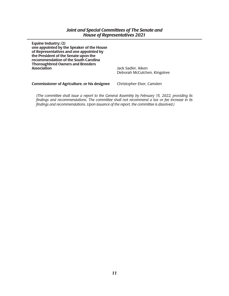| Jack Sadler, Aiken           |
|------------------------------|
| Deborah McCutchen, Kingstree |
|                              |
|                              |

**Commissioner of Agriculture, or his designee** Christopher Elser, Camden

*(The committee shall issue a report to the General Assembly by February 15, 2022, providing its findings and recommendations. The committee shall not recommend a tax or fee increase in its findings and recommendations. Upon issuance of the report, the committee is dissolved.)*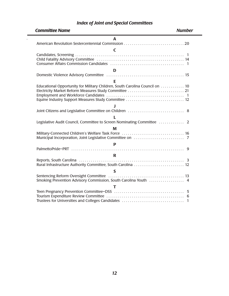# *Index of Joint and Special Committees*

 $\mathcal{L}^{(1)}$  .

| <b>Committee Name</b><br><b>Number</b>                                                                                                 |
|----------------------------------------------------------------------------------------------------------------------------------------|
| A                                                                                                                                      |
| $\mathsf{C}\phantom{A}$                                                                                                                |
|                                                                                                                                        |
| D                                                                                                                                      |
|                                                                                                                                        |
| E                                                                                                                                      |
| Educational Opportunity for Military Children, South Carolina Council on  10<br>Electricity Market Reform Measures Study Committee  21 |
|                                                                                                                                        |
|                                                                                                                                        |
| Legislative Audit Council, Committee to Screen Nominating Committee  2                                                                 |
| M                                                                                                                                      |
|                                                                                                                                        |
| P                                                                                                                                      |
| 9                                                                                                                                      |
| $\mathbf R$                                                                                                                            |
| Rural Infrastructure Authority Committee, South Carolina  12                                                                           |
| S                                                                                                                                      |
| Smoking Prevention Advisory Commission, South Carolina Youth  4                                                                        |
| т                                                                                                                                      |
| Trustees for Universities and Colleges Candidates<br>$\mathbf{1}$                                                                      |